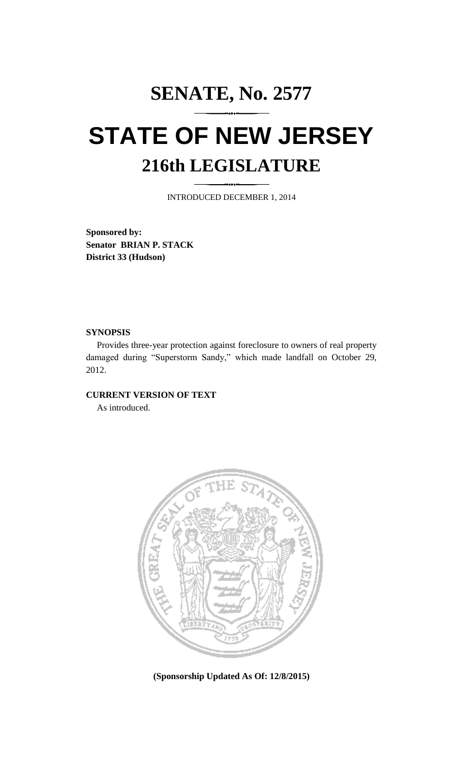## **SENATE, No. 2577 STATE OF NEW JERSEY 216th LEGISLATURE**

INTRODUCED DECEMBER 1, 2014

**Sponsored by: Senator BRIAN P. STACK District 33 (Hudson)**

## **SYNOPSIS**

Provides three-year protection against foreclosure to owners of real property damaged during "Superstorm Sandy," which made landfall on October 29, 2012.

## **CURRENT VERSION OF TEXT**

As introduced.



**(Sponsorship Updated As Of: 12/8/2015)**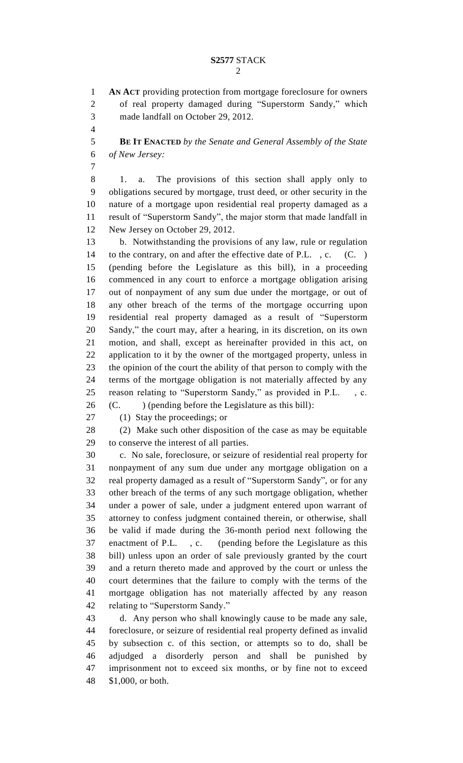**AN ACT** providing protection from mortgage foreclosure for owners of real property damaged during "Superstorm Sandy," which made landfall on October 29, 2012.

 **BE IT ENACTED** *by the Senate and General Assembly of the State of New Jersey:*

 1. a. The provisions of this section shall apply only to obligations secured by mortgage, trust deed, or other security in the nature of a mortgage upon residential real property damaged as a result of "Superstorm Sandy", the major storm that made landfall in New Jersey on October 29, 2012.

 b. Notwithstanding the provisions of any law, rule or regulation 14 to the contrary, on and after the effective date of P.L., c. (C.) (pending before the Legislature as this bill), in a proceeding commenced in any court to enforce a mortgage obligation arising out of nonpayment of any sum due under the mortgage, or out of any other breach of the terms of the mortgage occurring upon residential real property damaged as a result of "Superstorm Sandy," the court may, after a hearing, in its discretion, on its own motion, and shall, except as hereinafter provided in this act, on application to it by the owner of the mortgaged property, unless in the opinion of the court the ability of that person to comply with the terms of the mortgage obligation is not materially affected by any reason relating to "Superstorm Sandy," as provided in P.L. , c. (C. ) (pending before the Legislature as this bill):

(1) Stay the proceedings; or

(2) Make such other disposition of the case as may be equitable

to conserve the interest of all parties.

 c. No sale, foreclosure, or seizure of residential real property for nonpayment of any sum due under any mortgage obligation on a real property damaged as a result of "Superstorm Sandy", or for any other breach of the terms of any such mortgage obligation, whether under a power of sale, under a judgment entered upon warrant of attorney to confess judgment contained therein, or otherwise, shall be valid if made during the 36-month period next following the enactment of P.L. , c. (pending before the Legislature as this bill) unless upon an order of sale previously granted by the court and a return thereto made and approved by the court or unless the court determines that the failure to comply with the terms of the mortgage obligation has not materially affected by any reason relating to "Superstorm Sandy."

 d. Any person who shall knowingly cause to be made any sale, foreclosure, or seizure of residential real property defined as invalid by subsection c. of this section, or attempts so to do, shall be adjudged a disorderly person and shall be punished by imprisonment not to exceed six months, or by fine not to exceed \$1,000, or both.